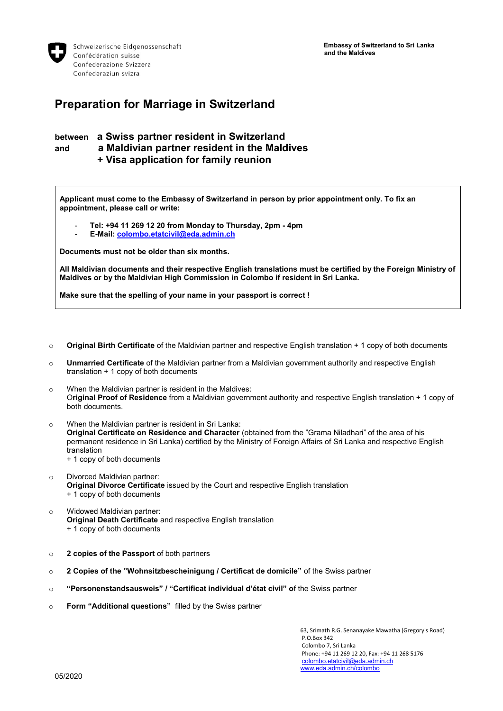**Embassy of Switzerland to Sri Lanka and the Maldives**



Schweizerische Eidgenossenschaft Confédération suisse Confederazione Svizzera Confederaziun svizra

## **Preparation for Marriage in Switzerland**

## **between a Swiss partner resident in Switzerland and a Maldivian partner resident in the Maldives + Visa application for family reunion**

**Applicant must come to the Embassy of Switzerland in person by prior appointment only. To fix an appointment, please call or write:** 

- **Tel: +94 11 269 12 20 from Monday to Thursday, 2pm - 4pm**
- **E-Mail[: colombo.etatcivil@eda.admin.ch](mailto:colombo.etatcivil@eda.admin.ch)**

**Documents must not be older than six months.**

**All Maldivian documents and their respective English translations must be certified by the Foreign Ministry of Maldives or by the Maldivian High Commission in Colombo if resident in Sri Lanka.**

**Make sure that the spelling of your name in your passport is correct !**

- o **Original Birth Certificate** of the Maldivian partner and respective English translation + 1 copy of both documents
- o **Unmarried Certificate** of the Maldivian partner from a Maldivian government authority and respective English translation + 1 copy of both documents
- o When the Maldivian partner is resident in the Maldives: O**riginal Proof of Residence** from a Maldivian government authority and respective English translation + 1 copy of both documents.
- o When the Maldivian partner is resident in Sri Lanka: **Original Certificate on Residence and Character** (obtained from the "Grama Niladhari" of the area of his permanent residence in Sri Lanka) certified by the Ministry of Foreign Affairs of Sri Lanka and respective English translation + 1 copy of both documents
- o Divorced Maldivian partner: **Original Divorce Certificate** issued by the Court and respective English translation + 1 copy of both documents
- o Widowed Maldivian partner: **Original Death Certificate** and respective English translation + 1 copy of both documents
- o **2 copies of the Passport** of both partners
- o **2 Copies of the "Wohnsitzbescheinigung / Certificat de domicile"** of the Swiss partner
- o **"Personenstandsausweis" / "Certificat individual d'état civil" o**f the Swiss partner
- o **Form "Additional questions"** filled by the Swiss partner

63, Srimath R.G. Senanayake Mawatha (Gregory's Road) P.O.Box 342 Colombo 7, Sri Lanka Phone: +94 11 269 12 20, Fax: +94 11 268 5176 [colombo.etatcivil@eda.admin.ch](mailto:colombo.etatcivil@eda.admin.ch) [www.eda.admin.ch/colombo](http://www.eda.admin.ch/colombo)